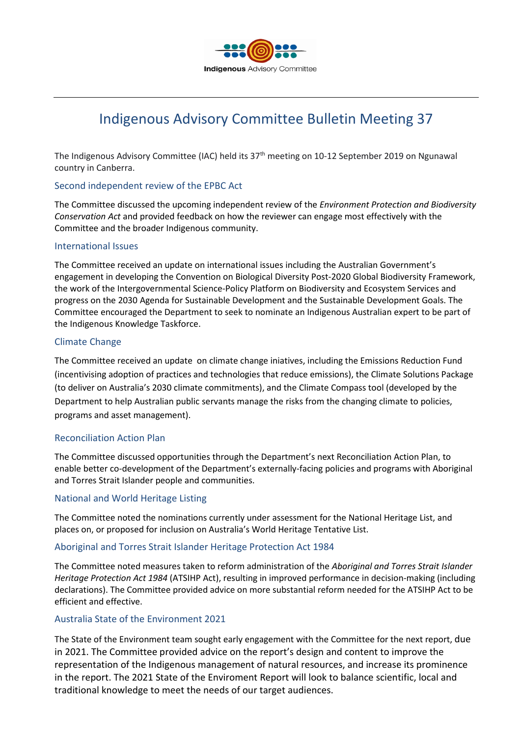

# Indigenous Advisory Committee Bulletin Meeting 37

The Indigenous Advisory Committee (IAC) held its 37<sup>th</sup> meeting on 10-12 September 2019 on Ngunawal country in Canberra.

## Second independent review of the EPBC Act

The Committee discussed the upcoming independent review of the *Environment Protection and Biodiversity Conservation Act* and provided feedback on how the reviewer can engage most effectively with the Committee and the broader Indigenous community.

## International Issues

The Committee received an update on international issues including the Australian Government's engagement in developing the Convention on Biological Diversity Post-2020 Global Biodiversity Framework, the work of the Intergovernmental Science-Policy Platform on Biodiversity and Ecosystem Services and progress on the 2030 Agenda for Sustainable Development and the Sustainable Development Goals. The Committee encouraged the Department to seek to nominate an Indigenous Australian expert to be part of the Indigenous Knowledge Taskforce.

## Climate Change

The Committee received an update on climate change iniatives, including the Emissions Reduction Fund (incentivising adoption of practices and technologies that reduce emissions), the Climate Solutions Package (to deliver on Australia's 2030 climate commitments), and the Climate Compass tool (developed by the Department to help Australian public servants manage the risks from the changing climate to policies, programs and asset management).

## Reconciliation Action Plan

The Committee discussed opportunities through the Department's next Reconciliation Action Plan, to enable better co-development of the Department's externally-facing policies and programs with Aboriginal and Torres Strait Islander people and communities.

## National and World Heritage Listing

The Committee noted the nominations currently under assessment for the National Heritage List, and places on, or proposed for inclusion on Australia's World Heritage Tentative List.

## Aboriginal and Torres Strait Islander Heritage Protection Act 1984

The Committee noted measures taken to reform administration of the *Aboriginal and Torres Strait Islander Heritage Protection Act 1984* (ATSIHP Act), resulting in improved performance in decision-making (including declarations). The Committee provided advice on more substantial reform needed for the ATSIHP Act to be efficient and effective.

# Australia State of the Environment 2021

The State of the Environment team sought early engagement with the Committee for the next report, due in 2021. The Committee provided advice on the report's design and content to improve the representation of the Indigenous management of natural resources, and increase its prominence in the report. The 2021 State of the Enviroment Report will look to balance scientific, local and traditional knowledge to meet the needs of our target audiences.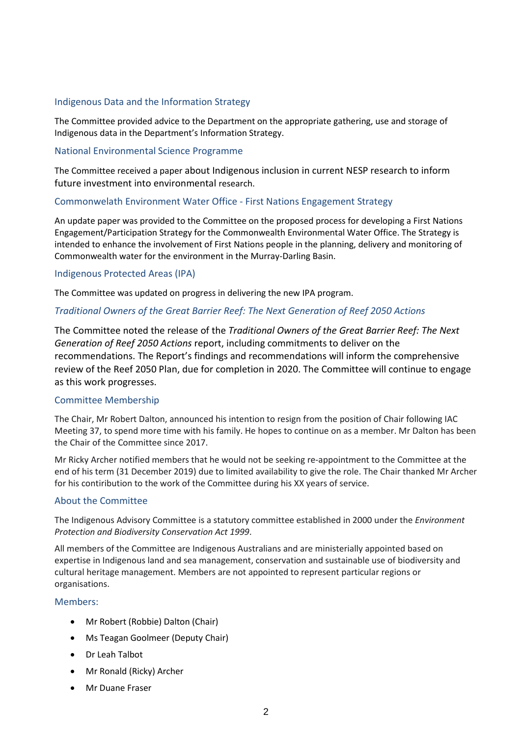# Indigenous Data and the Information Strategy

The Committee provided advice to the Department on the appropriate gathering, use and storage of Indigenous data in the Department's Information Strategy.

## National Environmental Science Programme

The Committee received a paper about Indigenous inclusion in current NESP research to inform future investment into environmental research.

## Commonwelath Environment Water Office - First Nations Engagement Strategy

An update paper was provided to the Committee on the proposed process for developing a First Nations Engagement/Participation Strategy for the Commonwealth Environmental Water Office. The Strategy is intended to enhance the involvement of First Nations people in the planning, delivery and monitoring of Commonwealth water for the environment in the Murray-Darling Basin.

## Indigenous Protected Areas (IPA)

The Committee was updated on progress in delivering the new IPA program.

# *Traditional Owners of the Great Barrier Reef: The Next Generation of Reef 2050 Actions*

The Committee noted the release of the *Traditional Owners of the Great Barrier Reef: The Next Generation of Reef 2050 Actions* report, including commitments to deliver on the recommendations. The Report's findings and recommendations will inform the comprehensive review of the Reef 2050 Plan, due for completion in 2020. The Committee will continue to engage as this work progresses.

## Committee Membership

The Chair, Mr Robert Dalton, announced his intention to resign from the position of Chair following IAC Meeting 37, to spend more time with his family. He hopes to continue on as a member. Mr Dalton has been the Chair of the Committee since 2017.

Mr Ricky Archer notified members that he would not be seeking re-appointment to the Committee at the end of his term (31 December 2019) due to limited availability to give the role. The Chair thanked Mr Archer for his contiribution to the work of the Committee during his XX years of service.

## About the Committee

The Indigenous Advisory Committee is a statutory committee established in 2000 under the *Environment Protection and Biodiversity Conservation Act 1999*.

All members of the Committee are Indigenous Australians and are ministerially appointed based on expertise in Indigenous land and sea management, conservation and sustainable use of biodiversity and cultural heritage management. Members are not appointed to represent particular regions or organisations.

## Members:

- Mr Robert (Robbie) Dalton (Chair)
- Ms Teagan Goolmeer (Deputy Chair)
- Dr Leah Talbot
- Mr Ronald (Ricky) Archer
- Mr Duane Fraser